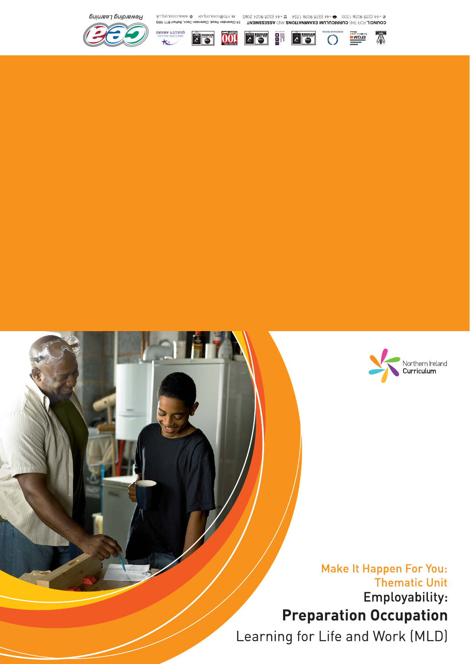



# **Make It Happen For You: Thematic Unit** Employability: **Preparation Occupation**

Learning for Life and Work (MLD)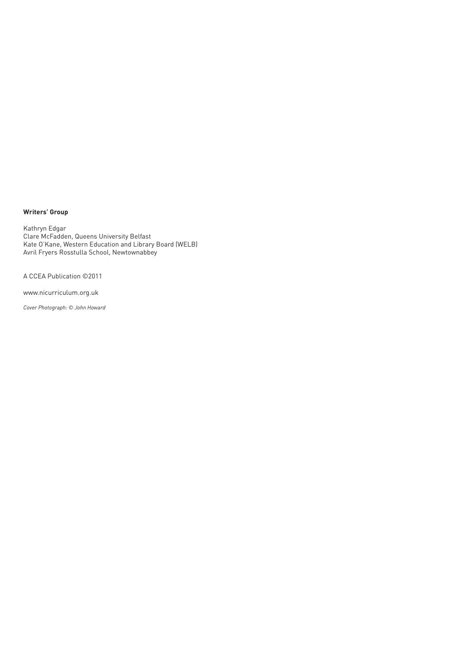#### **Writers' Group**

Kathryn Edgar Clare McFadden, Queens University Belfast Kate O'Kane, Western Education and Library Board (WELB) Avril Fryers Rosstulla School, Newtownabbey

A CCEA Publication ©2011

www.nicurriculum.org.uk

*Cover Photograph: © John Howard*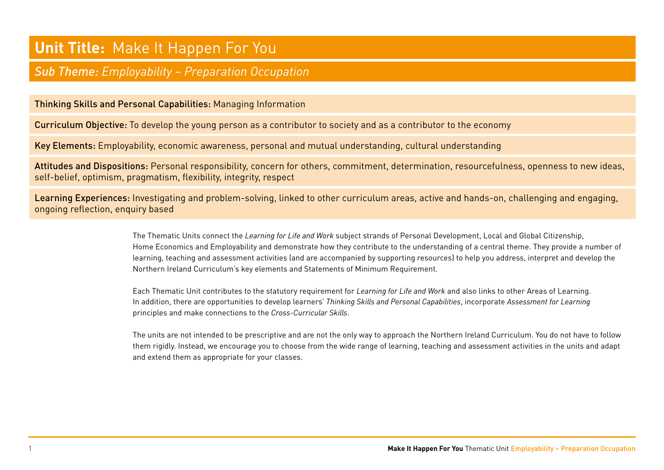#### **Unit Title:** Make It Happen For You

#### *Sub Theme: Employability – Preparation Occupation*

#### Thinking Skills and Personal Capabilities: Managing Information

Curriculum Objective: To develop the young person as a contributor to society and as a contributor to the economy

Key Elements: Employability, economic awareness, personal and mutual understanding, cultural understanding

Attitudes and Dispositions: Personal responsibility, concern for others, commitment, determination, resourcefulness, openness to new ideas, self-belief, optimism, pragmatism, flexibility, integrity, respect

Learning Experiences: Investigating and problem-solving, linked to other curriculum areas, active and hands-on, challenging and engaging, ongoing reflection, enquiry based

> The Thematic Units connect the *Learning for Life and Work* subject strands of Personal Development, Local and Global Citizenship, Home Economics and Employability and demonstrate how they contribute to the understanding of a central theme. They provide a number of learning, teaching and assessment activities (and are accompanied by supporting resources) to help you address, interpret and develop the Northern Ireland Curriculum's key elements and Statements of Minimum Requirement.

Each Thematic Unit contributes to the statutory requirement for *Learning for Life and Work* and also links to other Areas of Learning. In addition, there are opportunities to develop learners' *Thinking Skills and Personal Capabilities*, incorporate *Assessment for Learning* principles and make connections to the *Cross-Curricular Skills*.

The units are not intended to be prescriptive and are not the only way to approach the Northern Ireland Curriculum. You do not have to follow them rigidly. Instead, we encourage you to choose from the wide range of learning, teaching and assessment activities in the units and adapt and extend them as appropriate for your classes.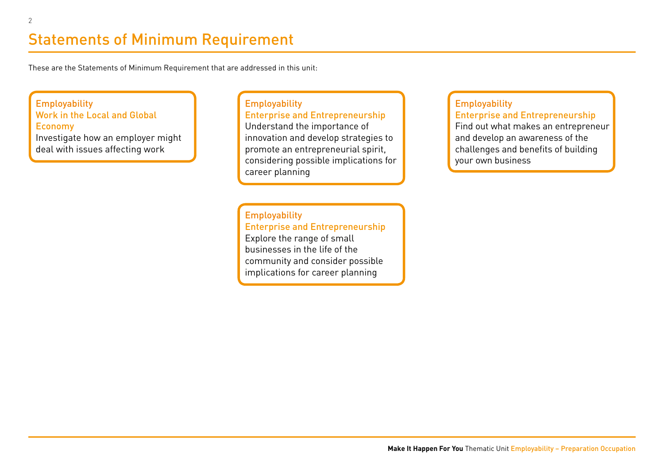# Statements of Minimum Requirement

These are the Statements of Minimum Requirement that are addressed in this unit:

**Employability** Work in the Local and Global Economy Investigate how an employer might deal with issues affecting work

**Employability** Enterprise and Entrepreneurship Understand the importance of innovation and develop strategies to promote an entrepreneurial spirit, considering possible implications for career planning

**Employability** Enterprise and Entrepreneurship Explore the range of small businesses in the life of the community and consider possible implications for career planning

#### **Employability**

Enterprise and Entrepreneurship

Find out what makes an entrepreneur and develop an awareness of the challenges and benefits of building your own business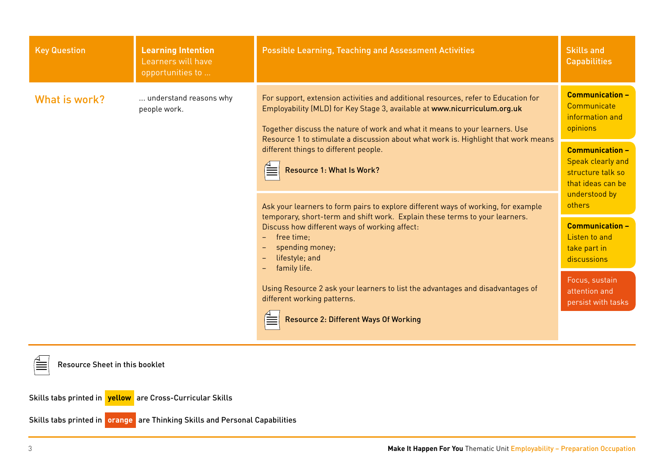| <b>Key Question</b>                   | <b>Learning Intention</b><br>Learners will have<br>opportunities to       | <b>Possible Learning, Teaching and Assessment Activities</b>                                                                                                                                                                                                                                                                         | <b>Skills and</b><br><b>Capabilities</b>                                         |
|---------------------------------------|---------------------------------------------------------------------------|--------------------------------------------------------------------------------------------------------------------------------------------------------------------------------------------------------------------------------------------------------------------------------------------------------------------------------------|----------------------------------------------------------------------------------|
| What is work?                         | understand reasons why<br>people work.                                    | For support, extension activities and additional resources, refer to Education for<br>Employability (MLD) for Key Stage 3, available at www.nicurriculum.org.uk<br>Together discuss the nature of work and what it means to your learners. Use<br>Resource 1 to stimulate a discussion about what work is. Highlight that work means | <b>Communication -</b><br>Communicate<br>information and<br>opinions             |
|                                       | different things to different people.<br><b>Resource 1: What Is Work?</b> | <b>Communication -</b><br>Speak clearly and<br>structure talk so<br>that ideas can be<br>understood by                                                                                                                                                                                                                               |                                                                                  |
|                                       |                                                                           | Ask your learners to form pairs to explore different ways of working, for example<br>temporary, short-term and shift work. Explain these terms to your learners.<br>Discuss how different ways of working affect:<br>free time:<br>$ -$<br>spending money;<br>lifestyle; and<br>family life.                                         | others<br><b>Communication -</b><br>Listen to and<br>take part in<br>discussions |
|                                       |                                                                           | Using Resource 2 ask your learners to list the advantages and disadvantages of<br>different working patterns.<br><b>Resource 2: Different Ways Of Working</b>                                                                                                                                                                        | Focus, sustain<br>attention and<br>persist with tasks                            |
| <b>Resource Sheet in this booklet</b> |                                                                           |                                                                                                                                                                                                                                                                                                                                      |                                                                                  |

Skills tabs printed in **yellow** are Cross-Curricular Skills

Skills tabs printed in **orange** are Thinking Skills and Personal Capabilities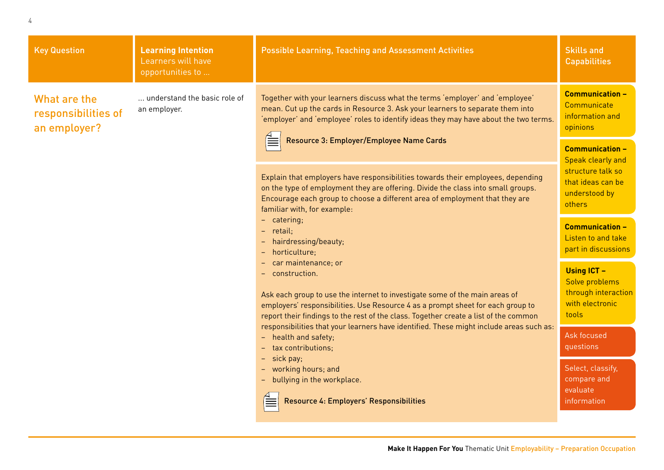| understand the basic role of<br>an employer. | Together with your learners discuss what the terms 'employer' and 'employee'<br>mean. Cut up the cards in Resource 3. Ask your learners to separate them into<br>'employer' and 'employee' roles to identify ideas they may have about the two terms.<br>Resource 3: Employer/Employee Name Cards                                                                                                                                                                                                                                                                                                                                                                                                                                                                                                                                                                                                                   | <b>Communication -</b><br>Communicate<br>information and<br>opinions                    |
|----------------------------------------------|---------------------------------------------------------------------------------------------------------------------------------------------------------------------------------------------------------------------------------------------------------------------------------------------------------------------------------------------------------------------------------------------------------------------------------------------------------------------------------------------------------------------------------------------------------------------------------------------------------------------------------------------------------------------------------------------------------------------------------------------------------------------------------------------------------------------------------------------------------------------------------------------------------------------|-----------------------------------------------------------------------------------------|
|                                              |                                                                                                                                                                                                                                                                                                                                                                                                                                                                                                                                                                                                                                                                                                                                                                                                                                                                                                                     | <b>Communication -</b><br>Speak clearly and                                             |
|                                              | Explain that employers have responsibilities towards their employees, depending<br>on the type of employment they are offering. Divide the class into small groups.<br>Encourage each group to choose a different area of employment that they are<br>familiar with, for example:<br>- catering;<br>- retail;<br>hairdressing/beauty;<br>horticulture;<br>car maintenance; or<br>- construction.<br>Ask each group to use the internet to investigate some of the main areas of<br>employers' responsibilities. Use Resource 4 as a prompt sheet for each group to<br>report their findings to the rest of the class. Together create a list of the common<br>responsibilities that your learners have identified. These might include areas such as:<br>- health and safety;<br>- tax contributions;<br>sick pay;<br>working hours; and<br>- bullying in the workplace.<br>Resource 4: Employers' Responsibilities | structure talk so<br>that ideas can be<br>understood by<br>others                       |
|                                              |                                                                                                                                                                                                                                                                                                                                                                                                                                                                                                                                                                                                                                                                                                                                                                                                                                                                                                                     | <b>Communication -</b><br>Listen to and take<br>part in discussions                     |
|                                              |                                                                                                                                                                                                                                                                                                                                                                                                                                                                                                                                                                                                                                                                                                                                                                                                                                                                                                                     | <b>Using ICT -</b><br>Solve problems<br>through interaction<br>with electronic<br>tools |
|                                              |                                                                                                                                                                                                                                                                                                                                                                                                                                                                                                                                                                                                                                                                                                                                                                                                                                                                                                                     | Ask focused<br>questions                                                                |
|                                              |                                                                                                                                                                                                                                                                                                                                                                                                                                                                                                                                                                                                                                                                                                                                                                                                                                                                                                                     | Select, classify,<br>compare and<br>evaluate<br><i>information</i>                      |
|                                              |                                                                                                                                                                                                                                                                                                                                                                                                                                                                                                                                                                                                                                                                                                                                                                                                                                                                                                                     |                                                                                         |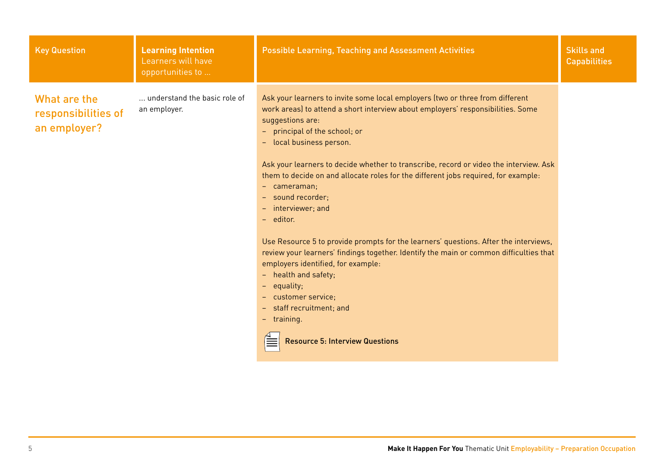| <b>Key Question</b>                                 | <b>Learning Intention</b><br>Learners will have<br>opportunities to | <b>Possible Learning, Teaching and Assessment Activities</b>                                                                                                                                                                                                                                                                                                                                                                                                                                                                                                                                                                                                                                                                                                                                                                                                                        | <b>Skills and</b><br><b>Capabilities</b> |
|-----------------------------------------------------|---------------------------------------------------------------------|-------------------------------------------------------------------------------------------------------------------------------------------------------------------------------------------------------------------------------------------------------------------------------------------------------------------------------------------------------------------------------------------------------------------------------------------------------------------------------------------------------------------------------------------------------------------------------------------------------------------------------------------------------------------------------------------------------------------------------------------------------------------------------------------------------------------------------------------------------------------------------------|------------------------------------------|
| What are the<br>responsibilities of<br>an employer? | understand the basic role of<br>an employer.                        | Ask your learners to invite some local employers (two or three from different<br>work areas) to attend a short interview about employers' responsibilities. Some<br>suggestions are:<br>- principal of the school; or<br>- local business person.<br>Ask your learners to decide whether to transcribe, record or video the interview. Ask<br>them to decide on and allocate roles for the different jobs required, for example:<br>- cameraman;<br>- sound recorder;<br>- interviewer; and<br>- editor.<br>Use Resource 5 to provide prompts for the learners' questions. After the interviews,<br>review your learners' findings together. Identify the main or common difficulties that<br>employers identified, for example:<br>- health and safety;<br>- equality;<br>- customer service;<br>- staff recruitment; and<br>- training.<br><b>Resource 5: Interview Questions</b> |                                          |
|                                                     |                                                                     |                                                                                                                                                                                                                                                                                                                                                                                                                                                                                                                                                                                                                                                                                                                                                                                                                                                                                     |                                          |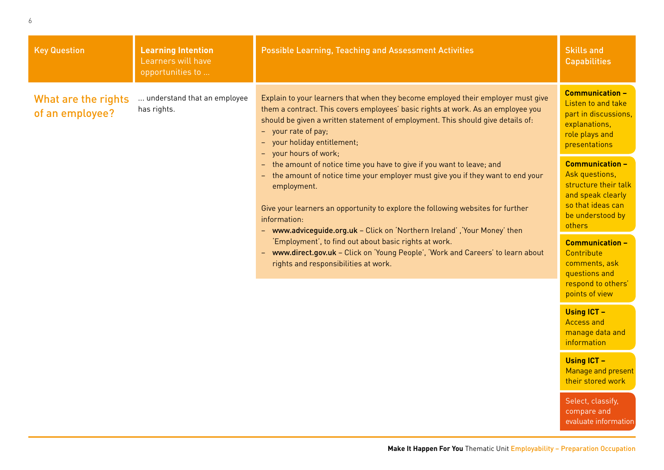| <b>Key Question</b>                                                                                                                                                                                                     | <b>Learning Intention</b><br>Learners will have<br>opportunities to                                                                                                                                                                       | <b>Possible Learning, Teaching and Assessment Activities</b>                                                                                                                                                                                                                                                                           | <b>Skills and</b><br><b>Capabilities</b>                                                                                 |
|-------------------------------------------------------------------------------------------------------------------------------------------------------------------------------------------------------------------------|-------------------------------------------------------------------------------------------------------------------------------------------------------------------------------------------------------------------------------------------|----------------------------------------------------------------------------------------------------------------------------------------------------------------------------------------------------------------------------------------------------------------------------------------------------------------------------------------|--------------------------------------------------------------------------------------------------------------------------|
| What are the rights<br>of an employee?                                                                                                                                                                                  | understand that an employee<br>has rights.                                                                                                                                                                                                | Explain to your learners that when they become employed their employer must give<br>them a contract. This covers employees' basic rights at work. As an employee you<br>should be given a written statement of employment. This should give details of:<br>- your rate of pay;<br>- your holiday entitlement;<br>- your hours of work; | <b>Communication -</b><br>Listen to and take<br>part in discussions,<br>explanations,<br>role plays and<br>presentations |
| $-$<br>$-$<br>employment.<br>information:<br>- www.adviceguide.org.uk - Click on 'Northern Ireland', 'Your Money' then<br>'Employment', to find out about basic rights at work.<br>rights and responsibilities at work. | the amount of notice time you have to give if you want to leave; and<br>the amount of notice time your employer must give you if they want to end your<br>Give your learners an opportunity to explore the following websites for further | <b>Communication -</b><br>Ask questions,<br>structure their talk<br>and speak clearly<br>so that ideas can<br>be understood by<br>others                                                                                                                                                                                               |                                                                                                                          |
|                                                                                                                                                                                                                         |                                                                                                                                                                                                                                           | - www.direct.gov.uk - Click on 'Young People', 'Work and Careers' to learn about                                                                                                                                                                                                                                                       | <b>Communication -</b><br>Contribute<br>comments, ask<br>questions and<br>respond to others'<br>points of view           |
|                                                                                                                                                                                                                         |                                                                                                                                                                                                                                           |                                                                                                                                                                                                                                                                                                                                        | <b>Using ICT -</b><br><b>Access and</b><br>manage data and<br>information                                                |
|                                                                                                                                                                                                                         |                                                                                                                                                                                                                                           |                                                                                                                                                                                                                                                                                                                                        | <b>Using ICT -</b><br>Manage and present<br>their stored work                                                            |
|                                                                                                                                                                                                                         |                                                                                                                                                                                                                                           |                                                                                                                                                                                                                                                                                                                                        | $C_n$ loot oloopitu                                                                                                      |

6

Select, classify, compare and evaluate information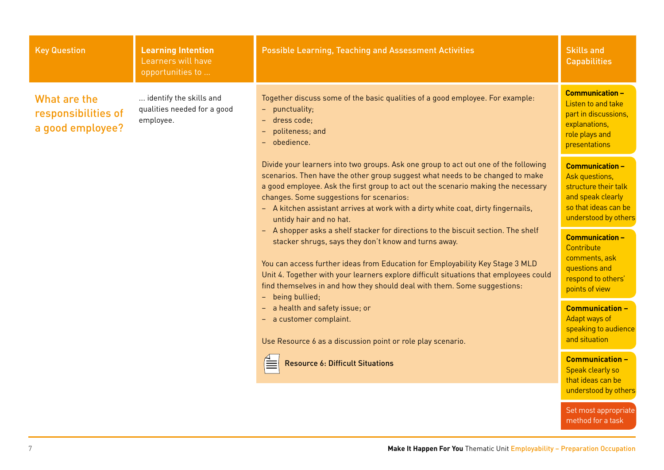| <b>Key Question</b>                                                                                                                                                                                                          | <b>Learning Intention</b><br>Learners will have<br>opportunities to                                                                                                                                                                                                                                                                                                                                                 | <b>Possible Learning, Teaching and Assessment Activities</b>                                                                                                                                                                                                                                                                                                                                                          | <b>Skills and</b><br><b>Capabilities</b>                                                                                              |
|------------------------------------------------------------------------------------------------------------------------------------------------------------------------------------------------------------------------------|---------------------------------------------------------------------------------------------------------------------------------------------------------------------------------------------------------------------------------------------------------------------------------------------------------------------------------------------------------------------------------------------------------------------|-----------------------------------------------------------------------------------------------------------------------------------------------------------------------------------------------------------------------------------------------------------------------------------------------------------------------------------------------------------------------------------------------------------------------|---------------------------------------------------------------------------------------------------------------------------------------|
| identify the skills and<br>What are the<br>qualities needed for a good<br>- punctuality;<br>responsibilities of<br>employee.<br>dress code:<br>$\equiv$ .<br>a good employee?<br>politeness; and<br>$\equiv$<br>- obedience. | Together discuss some of the basic qualities of a good employee. For example:                                                                                                                                                                                                                                                                                                                                       | <b>Communication -</b><br>Listen to and take<br>part in discussions,<br>explanations,<br>role plays and<br>presentations                                                                                                                                                                                                                                                                                              |                                                                                                                                       |
|                                                                                                                                                                                                                              |                                                                                                                                                                                                                                                                                                                                                                                                                     | Divide your learners into two groups. Ask one group to act out one of the following<br>scenarios. Then have the other group suggest what needs to be changed to make<br>a good employee. Ask the first group to act out the scenario making the necessary<br>changes. Some suggestions for scenarios:<br>- A kitchen assistant arrives at work with a dirty white coat, dirty fingernails,<br>untidy hair and no hat. | <b>Communication -</b><br>Ask questions,<br>structure their talk<br>and speak clearly<br>so that ideas can be<br>understood by others |
|                                                                                                                                                                                                                              | - A shopper asks a shelf stacker for directions to the biscuit section. The shelf<br>stacker shrugs, says they don't know and turns away.<br>You can access further ideas from Education for Employability Key Stage 3 MLD<br>Unit 4. Together with your learners explore difficult situations that employees could<br>find themselves in and how they should deal with them. Some suggestions:<br>- being bullied; | <b>Communication -</b><br>Contribute<br>comments, ask<br>questions and<br>respond to others'<br>points of view                                                                                                                                                                                                                                                                                                        |                                                                                                                                       |
|                                                                                                                                                                                                                              |                                                                                                                                                                                                                                                                                                                                                                                                                     | a health and safety issue; or<br>- a customer complaint.<br>Use Resource 6 as a discussion point or role play scenario.                                                                                                                                                                                                                                                                                               | <b>Communication -</b><br>Adapt ways of<br>speaking to audience<br>and situation                                                      |
|                                                                                                                                                                                                                              |                                                                                                                                                                                                                                                                                                                                                                                                                     | <b>Resource 6: Difficult Situations</b>                                                                                                                                                                                                                                                                                                                                                                               | <b>Communication -</b><br>Speak clearly so<br>that ideas can be<br>understood by others                                               |
|                                                                                                                                                                                                                              |                                                                                                                                                                                                                                                                                                                                                                                                                     |                                                                                                                                                                                                                                                                                                                                                                                                                       | Set most appropriate<br>method for a task                                                                                             |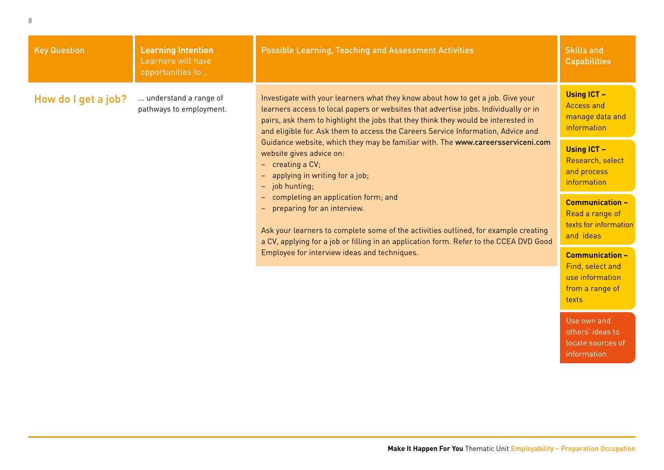| <b>Key Question</b> | <b>Learning Intention</b><br>Learners will have<br>opportunities to                                                                                                                          | <b>Possible Learning, Teaching and Assessment Activities</b>                                                                                                                                                                                                                                                                                    | <b>Skills and</b><br><b>Capabilities</b>                                                  |
|---------------------|----------------------------------------------------------------------------------------------------------------------------------------------------------------------------------------------|-------------------------------------------------------------------------------------------------------------------------------------------------------------------------------------------------------------------------------------------------------------------------------------------------------------------------------------------------|-------------------------------------------------------------------------------------------|
| How do I get a job? | understand a range of<br>pathways to employment.                                                                                                                                             | Investigate with your learners what they know about how to get a job. Give your<br>learners access to local papers or websites that advertise jobs. Individually or in<br>pairs, ask them to highlight the jobs that they think they would be interested in<br>and eligible for. Ask them to access the Careers Service Information, Advice and | <b>Using ICT -</b><br><b>Access and</b><br>manage data and<br>information                 |
|                     | Guidance website, which they may be familiar with. The www.careersserviceni.com<br>website gives advice on:<br>$-$ creating a CV;<br>applying in writing for a job;<br>-<br>$-$ job hunting; | <b>Using ICT -</b><br>Research, select<br>and process<br>information                                                                                                                                                                                                                                                                            |                                                                                           |
|                     |                                                                                                                                                                                              | completing an application form; and<br>$\qquad \qquad -$<br>preparing for an interview.<br>$\qquad \qquad -$<br>Ask your learners to complete some of the activities outlined, for example creating<br>a CV, applying for a job or filling in an application form. Refer to the CCEA DVD Good                                                   | <b>Communication -</b><br>Read a range of<br>texts for information<br>and ideas           |
|                     |                                                                                                                                                                                              | Employee for interview ideas and techniques.                                                                                                                                                                                                                                                                                                    | <b>Communication -</b><br>Find, select and<br>use information<br>from a range of<br>texts |

Use own and others' ideas to locate sources of information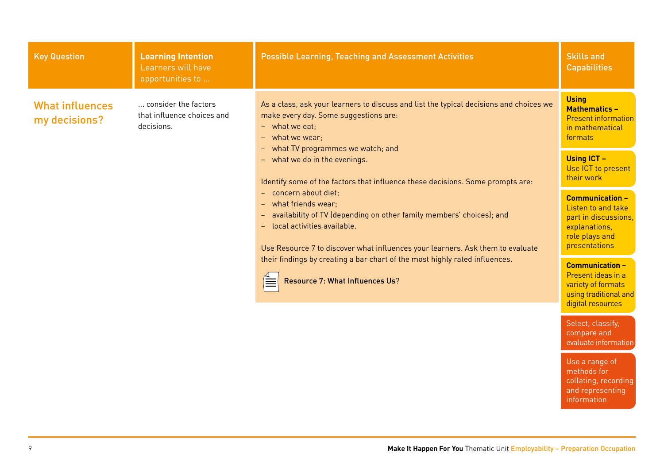| <b>Key Question</b>                     | <b>Learning Intention</b><br>Learners will have<br>opportunities to                                                                                                    | <b>Possible Learning, Teaching and Assessment Activities</b>                                                                                                                                                                                       | <b>Skills and</b><br><b>Capabilities</b>                                                                                 |
|-----------------------------------------|------------------------------------------------------------------------------------------------------------------------------------------------------------------------|----------------------------------------------------------------------------------------------------------------------------------------------------------------------------------------------------------------------------------------------------|--------------------------------------------------------------------------------------------------------------------------|
| <b>What influences</b><br>my decisions? | consider the factors<br>that influence choices and<br>decisions.                                                                                                       | As a class, ask your learners to discuss and list the typical decisions and choices we<br>make every day. Some suggestions are:<br>$-$ what we eat;<br>- what we wear;                                                                             | <b>Using</b><br><b>Mathematics -</b><br><b>Present information</b><br>in mathematical<br>formats                         |
|                                         | what TV programmes we watch; and<br>$\rightarrow$ .<br>- what we do in the evenings.<br>Identify some of the factors that influence these decisions. Some prompts are: | <b>Using ICT -</b><br>Use ICT to present<br>their work                                                                                                                                                                                             |                                                                                                                          |
|                                         |                                                                                                                                                                        | - concern about diet;<br>- what friends wear:<br>- availability of TV (depending on other family members' choices); and<br>local activities available.<br>$\sim$<br>Use Resource 7 to discover what influences your learners. Ask them to evaluate | <b>Communication -</b><br>Listen to and take<br>part in discussions.<br>explanations,<br>role plays and<br>presentations |
|                                         |                                                                                                                                                                        | their findings by creating a bar chart of the most highly rated influences.<br>Resource 7: What Influences Us?                                                                                                                                     | <b>Communication -</b><br>Present ideas in a<br>variety of formats<br>using traditional and<br>digital resources         |
|                                         |                                                                                                                                                                        |                                                                                                                                                                                                                                                    | Select, classify,<br>compare and<br>evaluate information                                                                 |
|                                         |                                                                                                                                                                        |                                                                                                                                                                                                                                                    | Use a range of<br>methods for                                                                                            |

collating, recording and representing information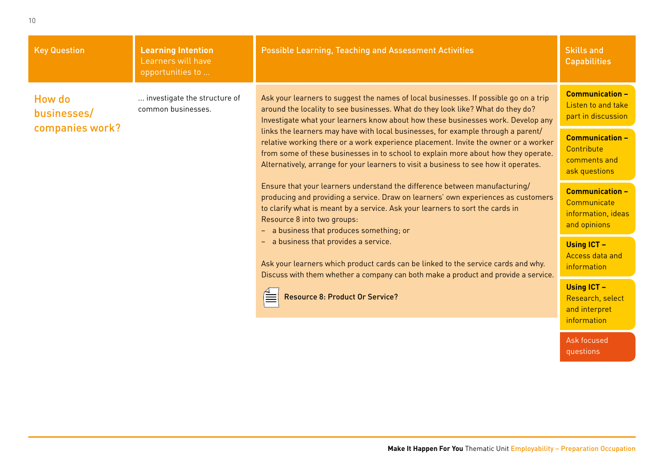| <b>Key Question</b>                                                   | <b>Learning Intention</b><br>Learners will have<br>opportunities to | <b>Possible Learning, Teaching and Assessment Activities</b>                                                                                                                                                                                                                                                                                                                                                                                                                                                                                                                                                                                                                                                                                                                                                                                                                                                                                        | <b>Skills and</b><br><b>Capabilities</b>                                    |
|-----------------------------------------------------------------------|---------------------------------------------------------------------|-----------------------------------------------------------------------------------------------------------------------------------------------------------------------------------------------------------------------------------------------------------------------------------------------------------------------------------------------------------------------------------------------------------------------------------------------------------------------------------------------------------------------------------------------------------------------------------------------------------------------------------------------------------------------------------------------------------------------------------------------------------------------------------------------------------------------------------------------------------------------------------------------------------------------------------------------------|-----------------------------------------------------------------------------|
| <b>How do</b><br>common businesses.<br>businesses/<br>companies work? | investigate the structure of                                        | Ask your learners to suggest the names of local businesses. If possible go on a trip<br>around the locality to see businesses. What do they look like? What do they do?<br>Investigate what your learners know about how these businesses work. Develop any<br>links the learners may have with local businesses, for example through a parent/<br>relative working there or a work experience placement. Invite the owner or a worker<br>from some of these businesses in to school to explain more about how they operate.<br>Alternatively, arrange for your learners to visit a business to see how it operates.<br>Ensure that your learners understand the difference between manufacturing/<br>producing and providing a service. Draw on learners' own experiences as customers<br>to clarify what is meant by a service. Ask your learners to sort the cards in<br>Resource 8 into two groups:<br>- a business that produces something; or | <b>Communication -</b><br>Listen to and take<br>part in discussion          |
|                                                                       |                                                                     |                                                                                                                                                                                                                                                                                                                                                                                                                                                                                                                                                                                                                                                                                                                                                                                                                                                                                                                                                     | <b>Communication -</b><br>Contribute<br>comments and<br>ask questions       |
|                                                                       |                                                                     |                                                                                                                                                                                                                                                                                                                                                                                                                                                                                                                                                                                                                                                                                                                                                                                                                                                                                                                                                     | <b>Communication -</b><br>Communicate<br>information, ideas<br>and opinions |
|                                                                       |                                                                     | - a business that provides a service.<br>Ask your learners which product cards can be linked to the service cards and why.<br>Discuss with them whether a company can both make a product and provide a service.                                                                                                                                                                                                                                                                                                                                                                                                                                                                                                                                                                                                                                                                                                                                    | <b>Using ICT -</b><br>Access data and<br>information                        |
|                                                                       |                                                                     | <b>Resource 8: Product Or Service?</b>                                                                                                                                                                                                                                                                                                                                                                                                                                                                                                                                                                                                                                                                                                                                                                                                                                                                                                              | <b>Using ICT -</b><br>Research, select<br>and interpret<br>information      |
|                                                                       |                                                                     |                                                                                                                                                                                                                                                                                                                                                                                                                                                                                                                                                                                                                                                                                                                                                                                                                                                                                                                                                     | Ask focused<br>questions                                                    |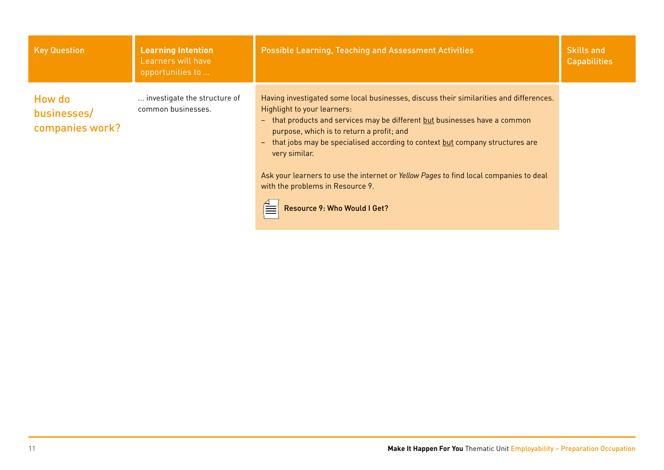| <b>Key Question</b>                      | <b>Learning Intention</b><br>Learners will have<br>opportunities to | <b>Possible Learning, Teaching and Assessment Activities</b>                                                                                                                                                                                                                                                                                                  | <b>Skills and</b><br><b>Capabilities</b> |
|------------------------------------------|---------------------------------------------------------------------|---------------------------------------------------------------------------------------------------------------------------------------------------------------------------------------------------------------------------------------------------------------------------------------------------------------------------------------------------------------|------------------------------------------|
| How do<br>businesses/<br>companies work? | investigate the structure of<br>common businesses.                  | Having investigated some local businesses, discuss their similarities and differences.<br>Highlight to your learners:<br>- that products and services may be different but businesses have a common<br>purpose, which is to return a profit; and<br>that jobs may be specialised according to context but company structures are<br>$\equiv$<br>very similar. |                                          |
|                                          |                                                                     | Ask your learners to use the internet or Yellow Pages to find local companies to deal<br>with the problems in Resource 9.<br>Resource 9: Who Would I Get?                                                                                                                                                                                                     |                                          |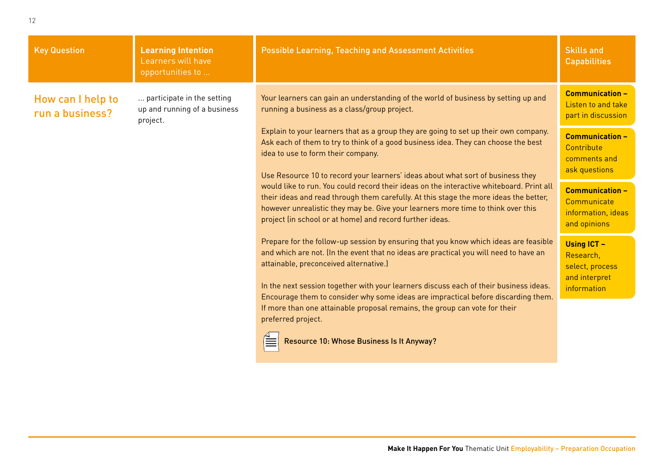| <b>Key Question</b>                  | <b>Learning Intention</b><br>Learners will have<br>opportunities to    | <b>Possible Learning, Teaching and Assessment Activities</b>                                                                                                                                                                                                                                                                      | <b>Skills and</b><br><b>Capabilities</b>                                           |
|--------------------------------------|------------------------------------------------------------------------|-----------------------------------------------------------------------------------------------------------------------------------------------------------------------------------------------------------------------------------------------------------------------------------------------------------------------------------|------------------------------------------------------------------------------------|
| How can I help to<br>run a business? | participate in the setting<br>up and running of a business<br>project. | Your learners can gain an understanding of the world of business by setting up and<br>running a business as a class/group project.                                                                                                                                                                                                | <b>Communication -</b><br>Listen to and take<br>part in discussion                 |
|                                      |                                                                        | Explain to your learners that as a group they are going to set up their own company.<br>Ask each of them to try to think of a good business idea. They can choose the best<br>idea to use to form their company.<br>Use Resource 10 to record your learners' ideas about what sort of business they                               | <b>Communication -</b><br>Contribute<br>comments and<br>ask questions              |
|                                      |                                                                        | would like to run. You could record their ideas on the interactive whiteboard. Print all<br>their ideas and read through them carefully. At this stage the more ideas the better,<br>however unrealistic they may be. Give your learners more time to think over this<br>project (in school or at home) and record further ideas. | <b>Communication -</b><br>Communicate<br>information, ideas<br>and opinions        |
|                                      |                                                                        | Prepare for the follow-up session by ensuring that you know which ideas are feasible<br>and which are not. (In the event that no ideas are practical you will need to have an<br>attainable, preconceived alternative.)<br>In the next session together with your learners discuss each of their business ideas.                  | <b>Using ICT -</b><br>Research,<br>select, process<br>and interpret<br>information |
|                                      |                                                                        | Encourage them to consider why some ideas are impractical before discarding them.<br>If more than one attainable proposal remains, the group can vote for their<br>preferred project.                                                                                                                                             |                                                                                    |
|                                      |                                                                        | Resource 10: Whose Business Is It Anyway?                                                                                                                                                                                                                                                                                         |                                                                                    |
|                                      |                                                                        |                                                                                                                                                                                                                                                                                                                                   |                                                                                    |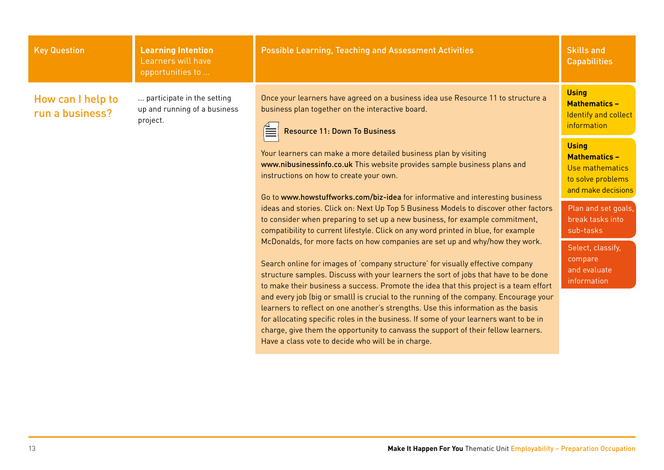| <b>Key Question</b>                  | <b>Learning Intention</b><br>Learners will have<br>opportunities to    | <b>Possible Learning, Teaching and Assessment Activities</b>                                                                                                                                                                                                                                                                                                                                                    | <b>Skills and</b><br><b>Capabilities</b>                                                           |
|--------------------------------------|------------------------------------------------------------------------|-----------------------------------------------------------------------------------------------------------------------------------------------------------------------------------------------------------------------------------------------------------------------------------------------------------------------------------------------------------------------------------------------------------------|----------------------------------------------------------------------------------------------------|
| How can I help to<br>run a business? | participate in the setting<br>up and running of a business<br>project. | Once your learners have agreed on a business idea use Resource 11 to structure a<br>business plan together on the interactive board.<br><b>Resource 11: Down To Business</b>                                                                                                                                                                                                                                    | <b>Using</b><br><b>Mathematics -</b><br>Identify and collect<br>information                        |
|                                      |                                                                        | Your learners can make a more detailed business plan by visiting<br>www.nibusinessinfo.co.uk This website provides sample business plans and<br>instructions on how to create your own.<br>Go to www.howstuffworks.com/biz-idea for informative and interesting business                                                                                                                                        | <b>Using</b><br><b>Mathematics -</b><br>Use mathematics<br>to solve problems<br>and make decisions |
|                                      |                                                                        | ideas and stories. Click on: Next Up Top 5 Business Models to discover other factors<br>to consider when preparing to set up a new business, for example commitment,<br>compatibility to current lifestyle. Click on any word printed in blue, for example                                                                                                                                                      | Plan and set goals,<br>break tasks into<br>sub-tasks                                               |
|                                      |                                                                        | McDonalds, for more facts on how companies are set up and why/how they work.<br>Search online for images of 'company structure' for visually effective company<br>structure samples. Discuss with your learners the sort of jobs that have to be done<br>to make their business a success. Promote the idea that this project is a team effort                                                                  | Select, classify,<br>compare<br>and evaluate<br>information                                        |
|                                      |                                                                        | and every job (big or small) is crucial to the running of the company. Encourage your<br>learners to reflect on one another's strengths. Use this information as the basis<br>for allocating specific roles in the business. If some of your learners want to be in<br>charge, give them the opportunity to canvass the support of their fellow learners.<br>Have a class vote to decide who will be in charge. |                                                                                                    |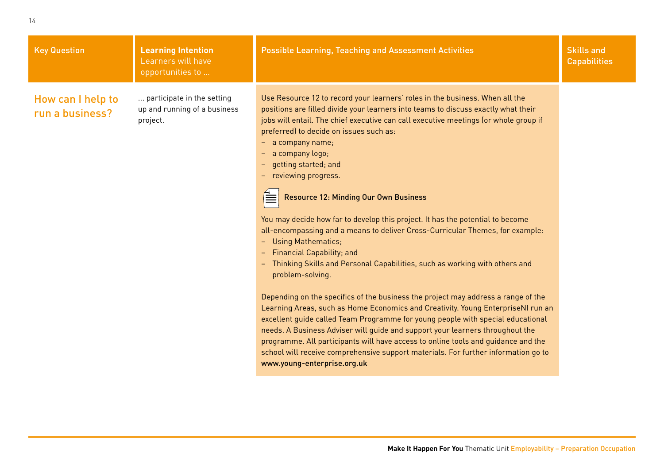| <b>Key Question</b>                  | <b>Learning Intention</b><br>Learners will have<br>opportunities to    | <b>Possible Learning, Teaching and Assessment Activities</b>                                                                                                                                                                                                                                                                                                                                                                                                                                                                                                                                                                                                                                                                                                                                                                                                                                                                                                                                                                                                                                                                                                                                                                                                                                                                             | <b>Skills and</b><br><b>Capabilities</b> |
|--------------------------------------|------------------------------------------------------------------------|------------------------------------------------------------------------------------------------------------------------------------------------------------------------------------------------------------------------------------------------------------------------------------------------------------------------------------------------------------------------------------------------------------------------------------------------------------------------------------------------------------------------------------------------------------------------------------------------------------------------------------------------------------------------------------------------------------------------------------------------------------------------------------------------------------------------------------------------------------------------------------------------------------------------------------------------------------------------------------------------------------------------------------------------------------------------------------------------------------------------------------------------------------------------------------------------------------------------------------------------------------------------------------------------------------------------------------------|------------------------------------------|
| How can I help to<br>run a business? | participate in the setting<br>up and running of a business<br>project. | Use Resource 12 to record your learners' roles in the business. When all the<br>positions are filled divide your learners into teams to discuss exactly what their<br>jobs will entail. The chief executive can call executive meetings (or whole group if<br>preferred) to decide on issues such as:<br>- a company name;<br>a company logo;<br>getting started; and<br>- reviewing progress.<br><b>Resource 12: Minding Our Own Business</b><br>You may decide how far to develop this project. It has the potential to become<br>all-encompassing and a means to deliver Cross-Curricular Themes, for example:<br>- Using Mathematics;<br><b>Financial Capability; and</b><br>- Thinking Skills and Personal Capabilities, such as working with others and<br>problem-solving.<br>Depending on the specifics of the business the project may address a range of the<br>Learning Areas, such as Home Economics and Creativity. Young EnterpriseNI run an<br>excellent guide called Team Programme for young people with special educational<br>needs. A Business Adviser will guide and support your learners throughout the<br>programme. All participants will have access to online tools and guidance and the<br>school will receive comprehensive support materials. For further information go to<br>www.young-enterprise.org.uk |                                          |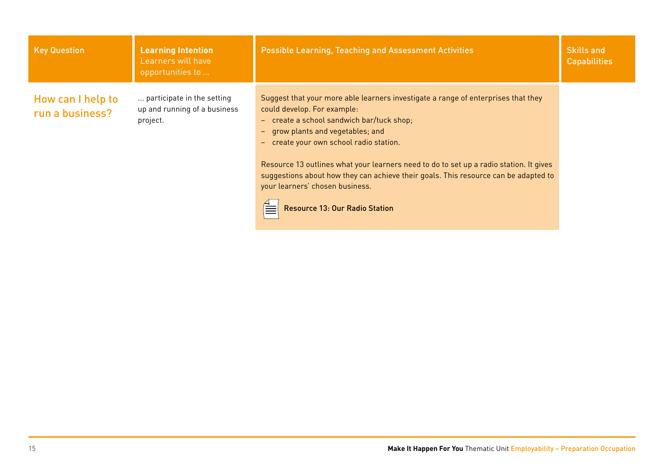| <b>Key Question</b>                  | <b>Learning Intention</b><br>Learners will have<br>opportunities to    | <b>Possible Learning, Teaching and Assessment Activities</b>                                                                                                                                                                                                                                                                                                                                                                                                                                                               | <b>Skills and</b><br><b>Capabilities</b> |
|--------------------------------------|------------------------------------------------------------------------|----------------------------------------------------------------------------------------------------------------------------------------------------------------------------------------------------------------------------------------------------------------------------------------------------------------------------------------------------------------------------------------------------------------------------------------------------------------------------------------------------------------------------|------------------------------------------|
| How can I help to<br>run a business? | participate in the setting<br>up and running of a business<br>project. | Suggest that your more able learners investigate a range of enterprises that they<br>could develop. For example:<br>- create a school sandwich bar/tuck shop;<br>grow plants and vegetables; and<br>$\sim$ $^{-1}$<br>- create your own school radio station.<br>Resource 13 outlines what your learners need to do to set up a radio station. It gives<br>suggestions about how they can achieve their goals. This resource can be adapted to<br>your learners' chosen business.<br><b>Resource 13: Our Radio Station</b> |                                          |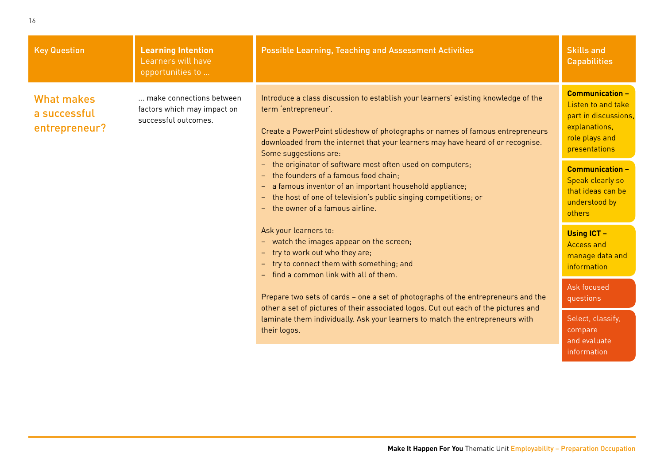| <b>Key Question</b>                                | <b>Learning Intention</b><br>Learners will have<br>opportunities to             | <b>Possible Learning, Teaching and Assessment Activities</b>                                                                                                                                                                                                                                            | <b>Skills and</b><br><b>Capabilities</b>                                                                                 |
|----------------------------------------------------|---------------------------------------------------------------------------------|---------------------------------------------------------------------------------------------------------------------------------------------------------------------------------------------------------------------------------------------------------------------------------------------------------|--------------------------------------------------------------------------------------------------------------------------|
| <b>What makes</b><br>a successful<br>entrepreneur? | make connections between<br>factors which may impact on<br>successful outcomes. | Introduce a class discussion to establish your learners' existing knowledge of the<br>term 'entrepreneur'.<br>Create a PowerPoint slideshow of photographs or names of famous entrepreneurs<br>downloaded from the internet that your learners may have heard of or recognise.<br>Some suggestions are: | <b>Communication -</b><br>Listen to and take<br>part in discussions,<br>explanations,<br>role plays and<br>presentations |
|                                                    |                                                                                 | - the originator of software most often used on computers;<br>- the founders of a famous food chain;<br>- a famous inventor of an important household appliance;<br>- the host of one of television's public singing competitions; or<br>- the owner of a famous airline.                               | <b>Communication -</b><br>Speak clearly so<br>that ideas can be<br>understood by<br>others                               |
|                                                    |                                                                                 | Ask your learners to:<br>- watch the images appear on the screen;<br>- try to work out who they are;<br>- try to connect them with something; and<br>- find a common link with all of them.                                                                                                             | <b>Using ICT -</b><br><b>Access and</b><br>manage data and<br>information                                                |
|                                                    |                                                                                 | Prepare two sets of cards - one a set of photographs of the entrepreneurs and the<br>other a set of pictures of their associated logos. Cut out each of the pictures and<br>laminate them individually. Ask your learners to match the entrepreneurs with<br>their logos.                               | Ask focused<br>questions                                                                                                 |
|                                                    |                                                                                 |                                                                                                                                                                                                                                                                                                         | Select, classify,<br>compare<br>and evaluate                                                                             |
|                                                    |                                                                                 |                                                                                                                                                                                                                                                                                                         | information                                                                                                              |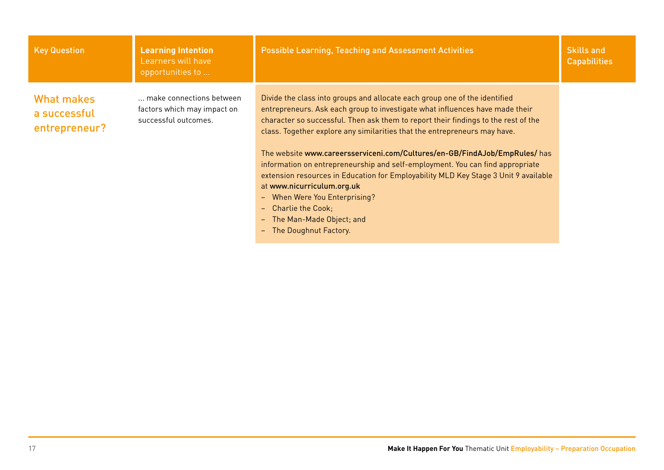| <b>Key Question</b>                                | <b>Learning Intention</b><br>Learners will have<br>opportunities to             | <b>Possible Learning, Teaching and Assessment Activities</b>                                                                                                                                                                                                                                                                                                                                                                                                                                                                                                                                                                                                                                                                                         | <b>Skills and</b><br><b>Capabilities</b> |
|----------------------------------------------------|---------------------------------------------------------------------------------|------------------------------------------------------------------------------------------------------------------------------------------------------------------------------------------------------------------------------------------------------------------------------------------------------------------------------------------------------------------------------------------------------------------------------------------------------------------------------------------------------------------------------------------------------------------------------------------------------------------------------------------------------------------------------------------------------------------------------------------------------|------------------------------------------|
| <b>What makes</b><br>a successful<br>entrepreneur? | make connections between<br>factors which may impact on<br>successful outcomes. | Divide the class into groups and allocate each group one of the identified<br>entrepreneurs. Ask each group to investigate what influences have made their<br>character so successful. Then ask them to report their findings to the rest of the<br>class. Together explore any similarities that the entrepreneurs may have.<br>The website www.careersserviceni.com/Cultures/en-GB/FindAJob/EmpRules/ has<br>information on entrepreneurship and self-employment. You can find appropriate<br>extension resources in Education for Employability MLD Key Stage 3 Unit 9 available<br>at www.nicurriculum.org.uk<br>When Were You Enterprising?<br>$-$<br><b>Charlie the Cook:</b><br>ц.<br>The Man-Made Object; and<br>ц.<br>The Doughnut Factory. |                                          |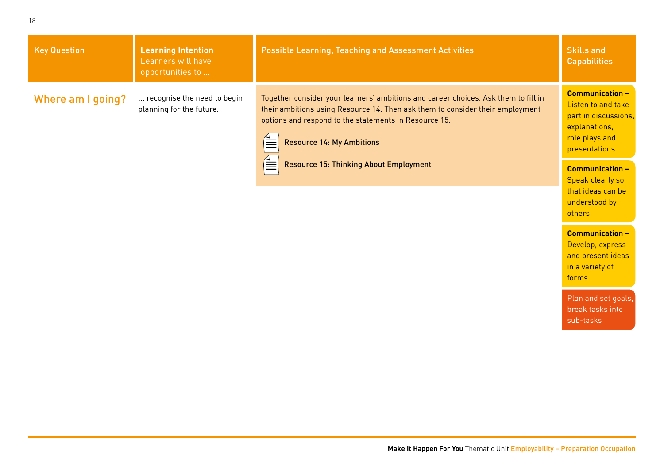| <b>Key Question</b> | <b>Learning Intention</b><br>Learners will have<br>opportunities to | <b>Possible Learning, Teaching and Assessment Activities</b>                                                                                                                                                                                                     | <b>Skills and</b><br><b>Capabilities</b>                                                                                 |
|---------------------|---------------------------------------------------------------------|------------------------------------------------------------------------------------------------------------------------------------------------------------------------------------------------------------------------------------------------------------------|--------------------------------------------------------------------------------------------------------------------------|
| Where am I going?   | recognise the need to begin<br>planning for the future.             | Together consider your learners' ambitions and career choices. Ask them to fill in<br>their ambitions using Resource 14. Then ask them to consider their employment<br>options and respond to the statements in Resource 15.<br><b>Resource 14: My Ambitions</b> | <b>Communication -</b><br>Listen to and take<br>part in discussions,<br>explanations,<br>role plays and<br>presentations |
|                     |                                                                     | $\equiv$<br><b>Resource 15: Thinking About Employment</b>                                                                                                                                                                                                        | <b>Communication -</b><br>Speak clearly so<br>that ideas can be                                                          |

understood by

**Communication –** Develop, express and present ideas in a variety of

Plan and set goals, break tasks into sub-tasks

others

forms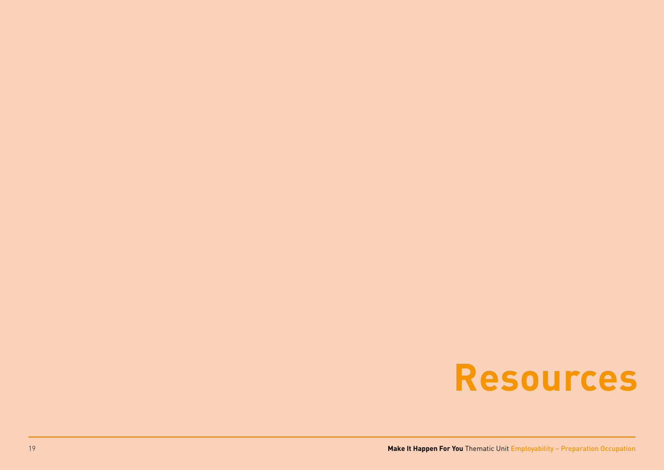# **Resources**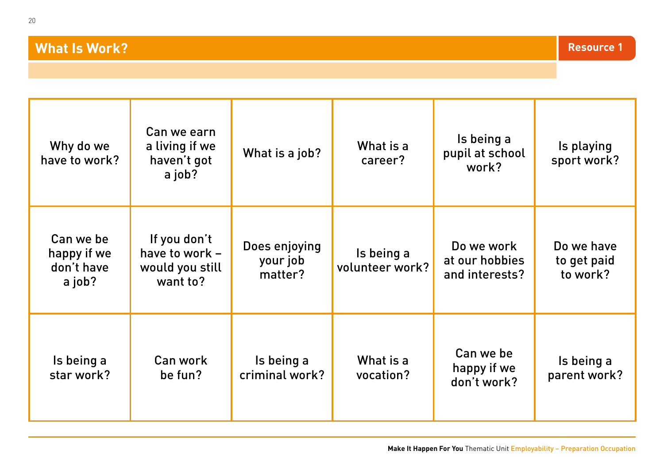#### **What Is Work?**

| Why do we<br>have to work?                       | Can we earn<br>a living if we<br>haven't got<br>a job?        | What is a job?                       | What is a<br>career?          | Is being a<br>pupil at school<br>work?         | Is playing<br>sport work?             |
|--------------------------------------------------|---------------------------------------------------------------|--------------------------------------|-------------------------------|------------------------------------------------|---------------------------------------|
| Can we be<br>happy if we<br>don't have<br>a job? | If you don't<br>have to work -<br>would you still<br>want to? | Does enjoying<br>your job<br>matter? | Is being a<br>volunteer work? | Do we work<br>at our hobbies<br>and interests? | Do we have<br>to get paid<br>to work? |
|                                                  |                                                               |                                      |                               |                                                |                                       |

| Is being a | Can work | Is being a     | What is a | Can we be<br>happy if we | Is being a   |
|------------|----------|----------------|-----------|--------------------------|--------------|
| star work? | be fun?  | criminal work? | vocation? | don't work?              | parent work? |

**Resource 1**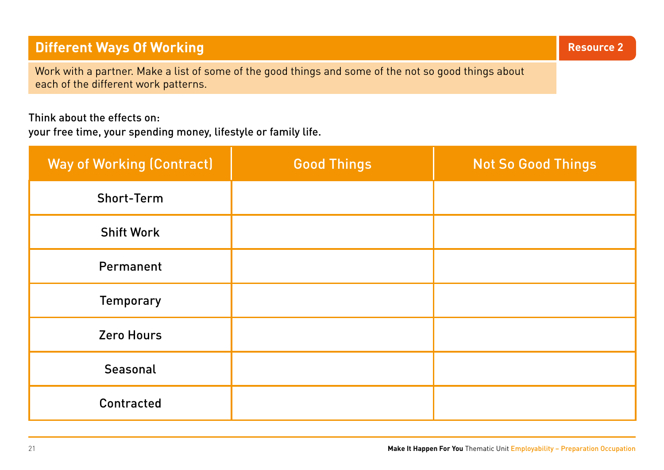#### **Different Ways Of Working and Service 2** and Service 2 and Service 2 and Service 2 and Service 2 and 2 and 2 and 2

Work with a partner. Make a list of some of the good things and some of the not so good things about each of the different work patterns.

#### Think about the effects on:

your free time, your spending money, lifestyle or family life.

| <b>Way of Working (Contract)</b> | <b>Good Things</b> | <b>Not So Good Things</b> |
|----------------------------------|--------------------|---------------------------|
| <b>Short-Term</b>                |                    |                           |
| <b>Shift Work</b>                |                    |                           |
| Permanent                        |                    |                           |
| <b>Temporary</b>                 |                    |                           |
| <b>Zero Hours</b>                |                    |                           |
| Seasonal                         |                    |                           |
| Contracted                       |                    |                           |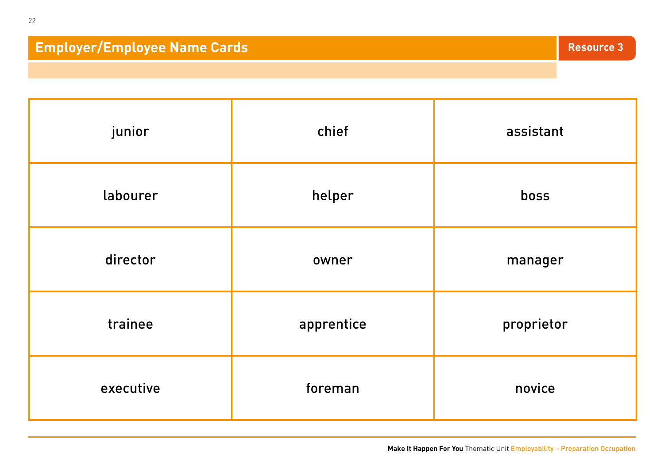## **Employer/Employee Name Cards 3**

| junior    | chief      | assistant  |
|-----------|------------|------------|
| labourer  | helper     | boss       |
| director  | owner      | manager    |
| trainee   | apprentice | proprietor |
| executive | foreman    | novice     |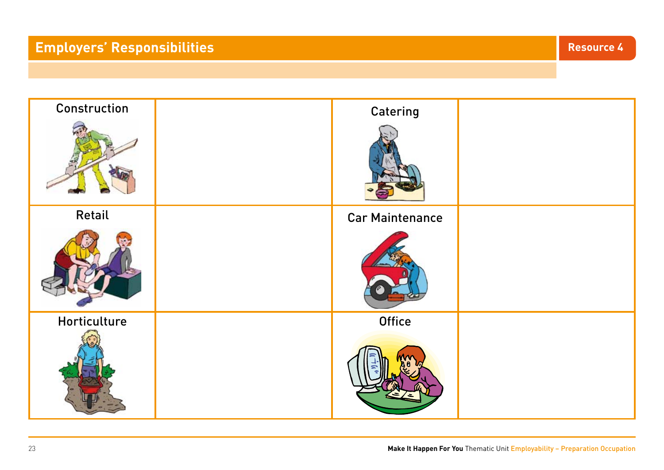# **Employers' Responsibilities Resource 4**

| Construction | Catering               |  |
|--------------|------------------------|--|
|              |                        |  |
| Retail       | <b>Car Maintenance</b> |  |
|              |                        |  |
| Horticulture | <b>Office</b>          |  |
|              |                        |  |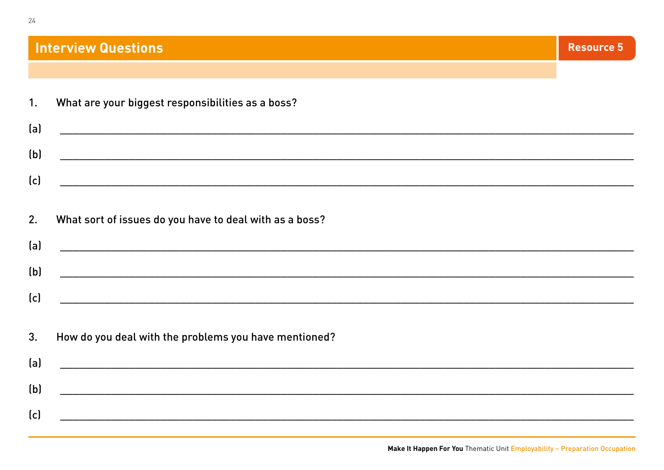#### **Interview Questions**

|  | What are your biggest responsibilities as a boss? |  |
|--|---------------------------------------------------|--|
|  |                                                   |  |

| (a) |  |
|-----|--|
| (b) |  |
| (c) |  |
|     |  |

#### What sort of issues do you have to deal with as a boss?  $2.$

| (a) |  |
|-----|--|
| (b) |  |
|     |  |
| (c) |  |
|     |  |

#### How do you deal with the problems you have mentioned?  $3.$

| (a) |  |
|-----|--|
|     |  |
| (b) |  |
| (c) |  |
|     |  |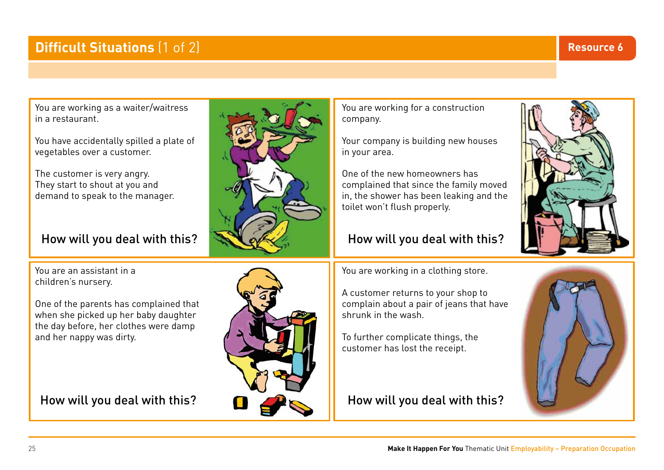#### **Difficult Situations**  $(1 \text{ of } 2)$

You are working as a waiter/waitress in a restaurant.

You have accidentally spilled a plate of vegetables over a customer.

The customer is very angry. They start to shout at you and demand to speak to the manager.

#### How will you deal with this?

You are an assistant in a children's nursery.

One of the parents has complained that when she picked up her baby daughter the day before, her clothes were damp and her nappy was dirty.

How will you deal with this?



You are working for a construction

Your company is building new houses

complained that since the family moved in, the shower has been leaking and the

How will you deal with this?

One of the new homeowners has

toilet won't flush properly.

company.

in your area.

A customer returns to your shop to complain about a pair of jeans that have shrunk in the wash.

To further complicate things, the customer has lost the receipt.

#### How will you deal with this?





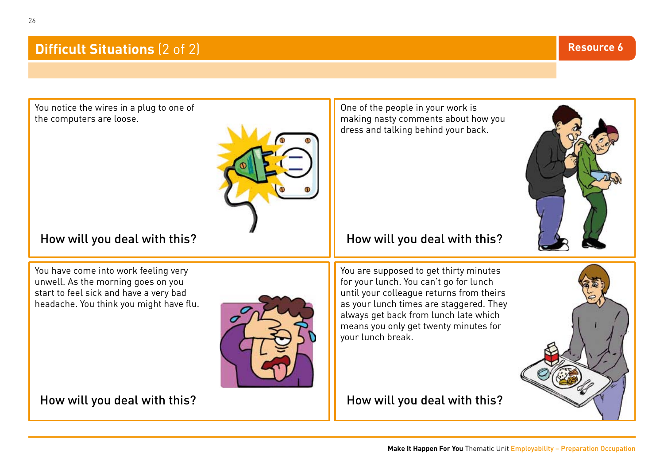#### **Difficult Situations (2 of 2)**

You notice the wires in a plug to one of the computers are loose.

#### How will you deal with this?

You have come into work feeling very unwell. As the morning goes on you start to feel sick and have a very bad headache. You think you might have flu.

How will you deal with this?

One of the people in your work is making nasty comments about how you dress and talking behind your back.

#### How will you deal with this?

You are supposed to get thirty minutes for your lunch. You can't go for lunch until your colleague returns from theirs as your lunch times are staggered. They always get back from lunch late which means you only get twenty minutes for your lunch break.

How will you deal with this?

26



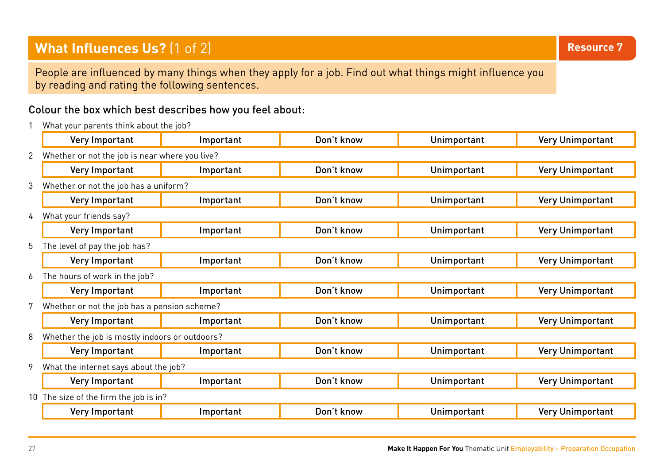#### **What Influences Us?** (1 of 2) **Resource 7 Resource 7 Resource 7 Resource 7**

People are influenced by many things when they apply for a job. Find out what things might influence you by reading and rating the following sentences.

#### Colour the box which best describes how you feel about:

1 What your parents think about the job?

|   | Very Important                                 | Important                                    | Don't know | Unimportant | <b>Very Unimportant</b> |
|---|------------------------------------------------|----------------------------------------------|------------|-------------|-------------------------|
| 2 | Whether or not the job is near where you live? |                                              |            |             |                         |
|   | Very Important                                 | Important                                    | Don't know | Unimportant | <b>Very Unimportant</b> |
| 3 | Whether or not the job has a uniform?          |                                              |            |             |                         |
|   | Very Important                                 | Important                                    | Don't know | Unimportant | <b>Very Unimportant</b> |
| 4 | What your friends say?                         |                                              |            |             |                         |
|   | Very Important                                 | Important                                    | Don't know | Unimportant | <b>Very Unimportant</b> |
| 5 | The level of pay the job has?                  |                                              |            |             |                         |
|   | Very Important                                 | Important                                    | Don't know | Unimportant | <b>Very Unimportant</b> |
| 6 | The hours of work in the job?                  |                                              |            |             |                         |
|   | Very Important                                 | Important                                    | Don't know | Unimportant | <b>Very Unimportant</b> |
|   |                                                | Whether or not the job has a pension scheme? |            |             |                         |
|   | Very Important                                 | Important                                    | Don't know | Unimportant | <b>Very Unimportant</b> |
| 8 | Whether the job is mostly indoors or outdoors? |                                              |            |             |                         |
|   | Very Important                                 | Important                                    | Don't know | Unimportant | <b>Very Unimportant</b> |
|   | What the internet says about the job?          |                                              |            |             |                         |
|   | Very Important                                 | Important                                    | Don't know | Unimportant | <b>Very Unimportant</b> |
|   | The size of the firm the job is in?            |                                              |            |             |                         |
|   | Very Important                                 | Important                                    | Don't know | Unimportant | <b>Very Unimportant</b> |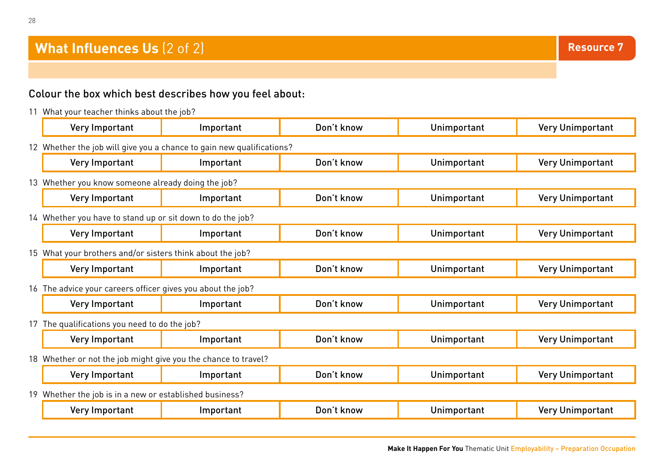#### **What Influences Us** (2 of 2)

#### Colour the box which best describes how you feel about:

11 What your teacher thinks about the job?

|                                                                       | Very Important                                                 | Important | Don't know | Unimportant | <b>Very Unimportant</b> |
|-----------------------------------------------------------------------|----------------------------------------------------------------|-----------|------------|-------------|-------------------------|
| 12 Whether the job will give you a chance to gain new qualifications? |                                                                |           |            |             |                         |
|                                                                       | Very Important                                                 | Important | Don't know | Unimportant | <b>Very Unimportant</b> |
|                                                                       | 13 Whether you know someone already doing the job?             |           |            |             |                         |
|                                                                       | Very Important                                                 | Important | Don't know | Unimportant | <b>Very Unimportant</b> |
|                                                                       | 14 Whether you have to stand up or sit down to do the job?     |           |            |             |                         |
|                                                                       | Very Important                                                 | Important | Don't know | Unimportant | <b>Very Unimportant</b> |
| 15 What your brothers and/or sisters think about the job?             |                                                                |           |            |             |                         |
|                                                                       | Very Important                                                 | Important | Don't know | Unimportant | <b>Very Unimportant</b> |
| 16 The advice your careers officer gives you about the job?           |                                                                |           |            |             |                         |
|                                                                       | Very Important                                                 | Important | Don't know | Unimportant | <b>Very Unimportant</b> |
| 17 The qualifications you need to do the job?                         |                                                                |           |            |             |                         |
|                                                                       | Very Important                                                 | Important | Don't know | Unimportant | <b>Very Unimportant</b> |
|                                                                       | 18 Whether or not the job might give you the chance to travel? |           |            |             |                         |
|                                                                       | Very Important                                                 | Important | Don't know | Unimportant | <b>Very Unimportant</b> |
|                                                                       | 19 Whether the job is in a new or established business?        |           |            |             |                         |
|                                                                       | Very Important                                                 | Important | Don't know | Unimportant | <b>Very Unimportant</b> |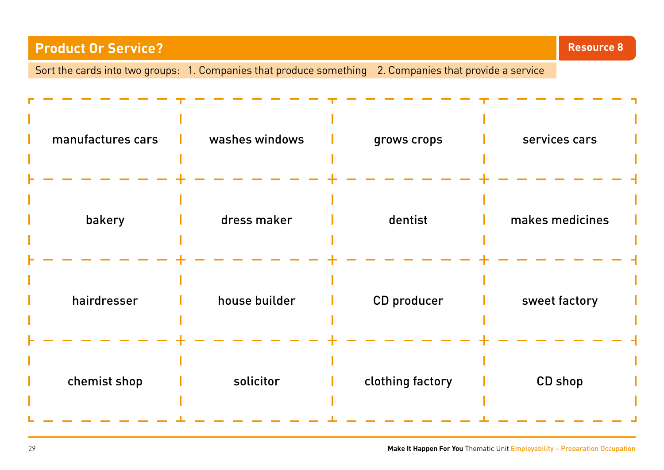# **Product Or Service?** Sort the cards into two groups: 1. Companies that produce something 2. Companies that provide a service **Resource 8** manufactures cars l washes windows l grows crops l services cars bakery and dress maker dentist and makes medicines hairdresser **i** house builder **i** CD producer **i** sweet factory chemist shop discrete interest in the clothing factory discrete CD shop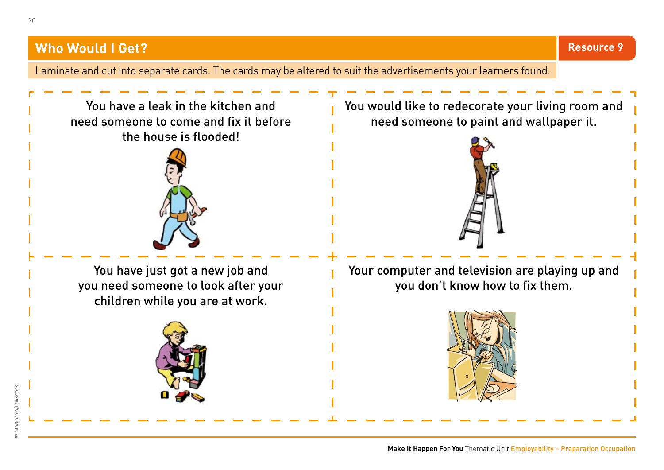Laminate and cut into separate cards. The cards may be altered to suit the advertisements your learners found.

You have a leak in the kitchen and need someone to come and fix it before the house is flooded!



You have just got a new job and you need someone to look after your children while you are at work.



You would like to redecorate your living room and need someone to paint and wallpaper it.



Your computer and television are playing up and you don't know how to fix them.

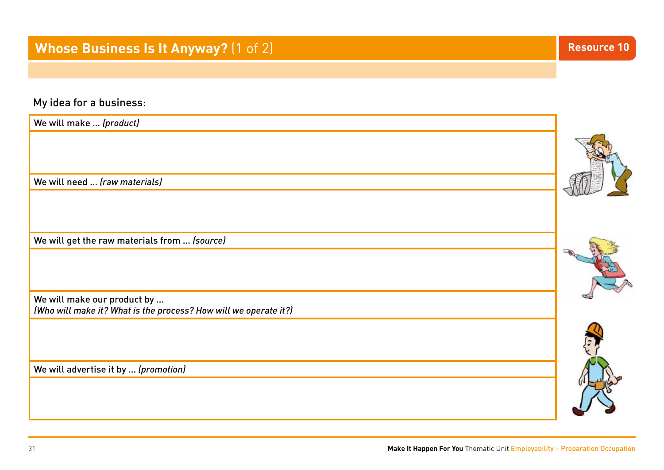My idea for a business:

| We will make  (product)                                                                         |  |
|-------------------------------------------------------------------------------------------------|--|
| We will need  (raw materials)                                                                   |  |
|                                                                                                 |  |
| We will get the raw materials from  (source)                                                    |  |
|                                                                                                 |  |
| We will make our product by<br>(Who will make it? What is the process? How will we operate it?) |  |
| We will advertise it by  (promotion)                                                            |  |
|                                                                                                 |  |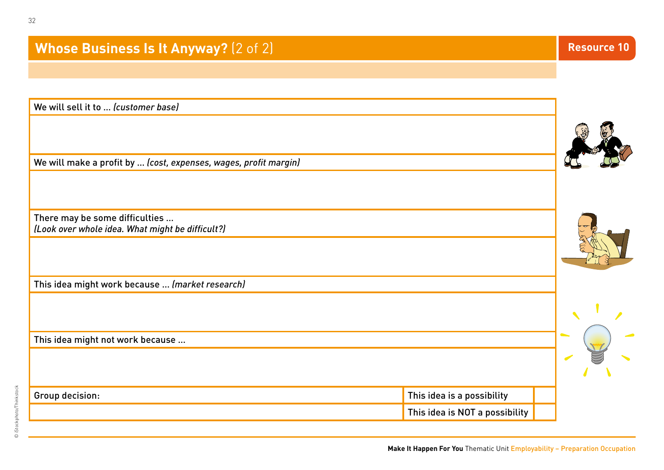| This idea is a possibility     |                    |
|--------------------------------|--------------------|
| This idea is NOT a possibility |                    |
|                                | <b>Resource 10</b> |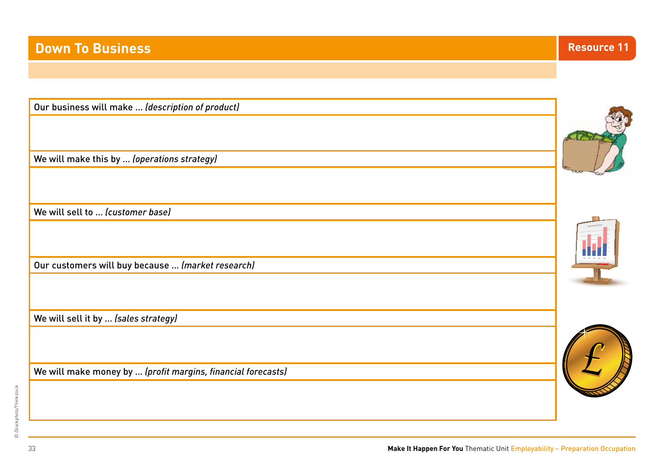### **Down To Business Resource 11**

| Our business will make  (description of product)             |  |
|--------------------------------------------------------------|--|
|                                                              |  |
| We will make this by  (operations strategy)                  |  |
| We will sell to  (customer base)                             |  |
|                                                              |  |
| Our customers will buy because  (market research)            |  |
|                                                              |  |
| We will sell it by  (sales strategy)                         |  |
| We will make money by  (profit margins, financial forecasts) |  |

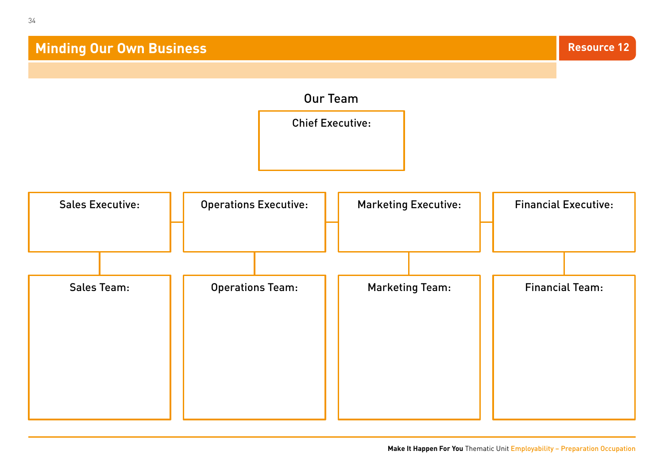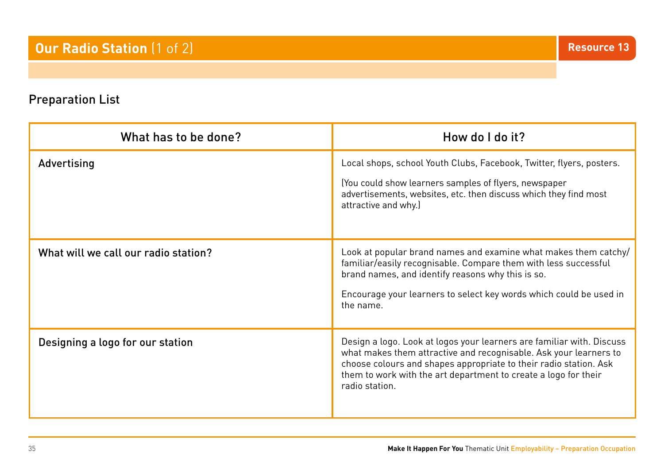#### Preparation List

| What has to be done?                 | How do I do it?                                                                                                                                                                                                                                                                                      |
|--------------------------------------|------------------------------------------------------------------------------------------------------------------------------------------------------------------------------------------------------------------------------------------------------------------------------------------------------|
| Advertising                          | Local shops, school Youth Clubs, Facebook, Twitter, flyers, posters.<br>(You could show learners samples of flyers, newspaper<br>advertisements, websites, etc. then discuss which they find most<br>attractive and why.)                                                                            |
| What will we call our radio station? | Look at popular brand names and examine what makes them catchy/<br>familiar/easily recognisable. Compare them with less successful<br>brand names, and identify reasons why this is so.<br>Encourage your learners to select key words which could be used in<br>the name.                           |
| Designing a logo for our station     | Design a logo. Look at logos your learners are familiar with. Discuss<br>what makes them attractive and recognisable. Ask your learners to<br>choose colours and shapes appropriate to their radio station. Ask<br>them to work with the art department to create a logo for their<br>radio station. |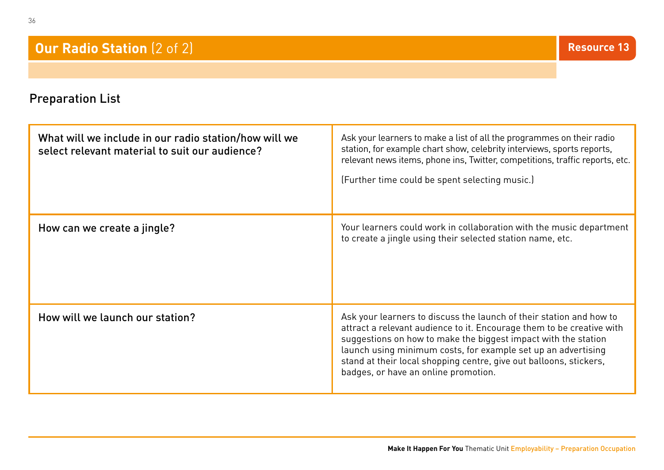#### **Our Radio Station** (2 of 2)

#### Preparation List

| What will we include in our radio station/how will we<br>select relevant material to suit our audience? | Ask your learners to make a list of all the programmes on their radio<br>station, for example chart show, celebrity interviews, sports reports,<br>relevant news items, phone ins, Twitter, competitions, traffic reports, etc.<br>(Further time could be spent selecting music.)                                                                                                             |
|---------------------------------------------------------------------------------------------------------|-----------------------------------------------------------------------------------------------------------------------------------------------------------------------------------------------------------------------------------------------------------------------------------------------------------------------------------------------------------------------------------------------|
| How can we create a jingle?                                                                             | Your learners could work in collaboration with the music department<br>to create a jingle using their selected station name, etc.                                                                                                                                                                                                                                                             |
| How will we launch our station?                                                                         | Ask your learners to discuss the launch of their station and how to<br>attract a relevant audience to it. Encourage them to be creative with<br>suggestions on how to make the biggest impact with the station<br>launch using minimum costs, for example set up an advertising<br>stand at their local shopping centre, give out balloons, stickers,<br>badges, or have an online promotion. |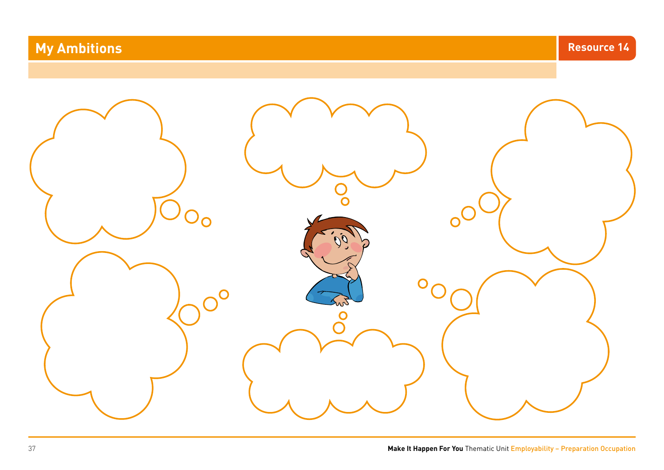# **My Ambitions and Service 24 and Service 24 and Service 24 and Service 24 and Service 24 and Service 24 and Service 24 and Service 24 and Service 24 and Service 24 and Service 25 and Service 25 and Service 25 and Service 2**

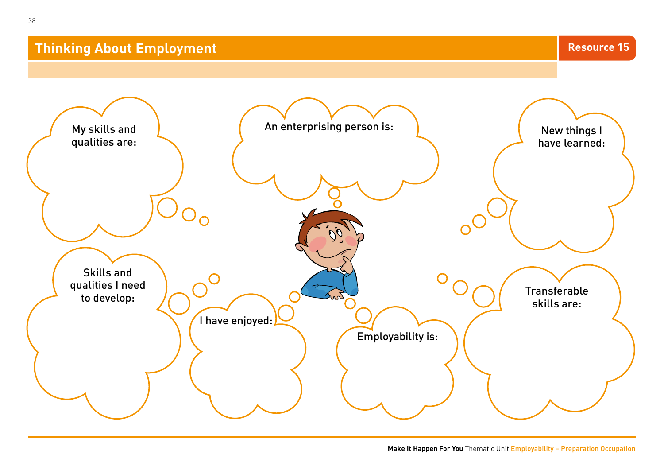#### **Thinking About Employment**